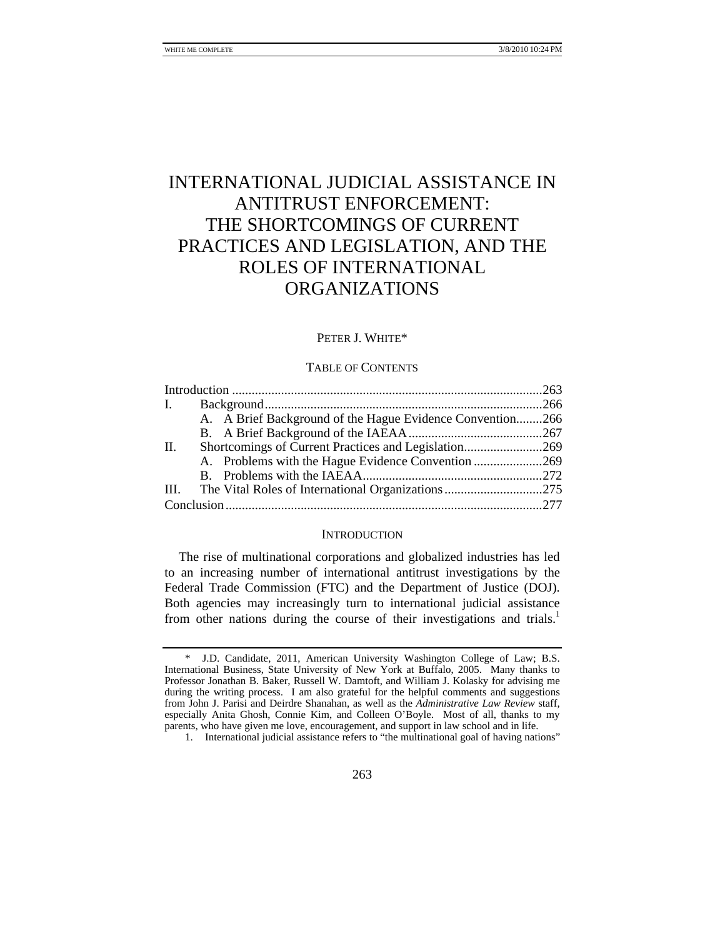# INTERNATIONAL JUDICIAL ASSISTANCE IN ANTITRUST ENFORCEMENT: THE SHORTCOMINGS OF CURRENT PRACTICES AND LEGISLATION, AND THE ROLES OF INTERNATIONAL ORGANIZATIONS

## PETER J. WHITE\*

#### TABLE OF CONTENTS

| A. A Brief Background of the Hague Evidence Convention266 |
|-----------------------------------------------------------|
|                                                           |
| Shortcomings of Current Practices and Legislation269      |
| A. Problems with the Hague Evidence Convention 269        |
|                                                           |
|                                                           |
|                                                           |
|                                                           |

#### **INTRODUCTION**

The rise of multinational corporations and globalized industries has led to an increasing number of international antitrust investigations by the Federal Trade Commission (FTC) and the Department of Justice (DOJ). Both agencies may increasingly turn to international judicial assistance from other nations during the course of their investigations and trials.<sup>1</sup>

 <sup>\*</sup> J.D. Candidate, 2011, American University Washington College of Law; B.S. International Business, State University of New York at Buffalo, 2005. Many thanks to Professor Jonathan B. Baker, Russell W. Damtoft, and William J. Kolasky for advising me during the writing process. I am also grateful for the helpful comments and suggestions from John J. Parisi and Deirdre Shanahan, as well as the *Administrative Law Review* staff, especially Anita Ghosh, Connie Kim, and Colleen O'Boyle. Most of all, thanks to my parents, who have given me love, encouragement, and support in law school and in life.

 <sup>1.</sup> International judicial assistance refers to "the multinational goal of having nations"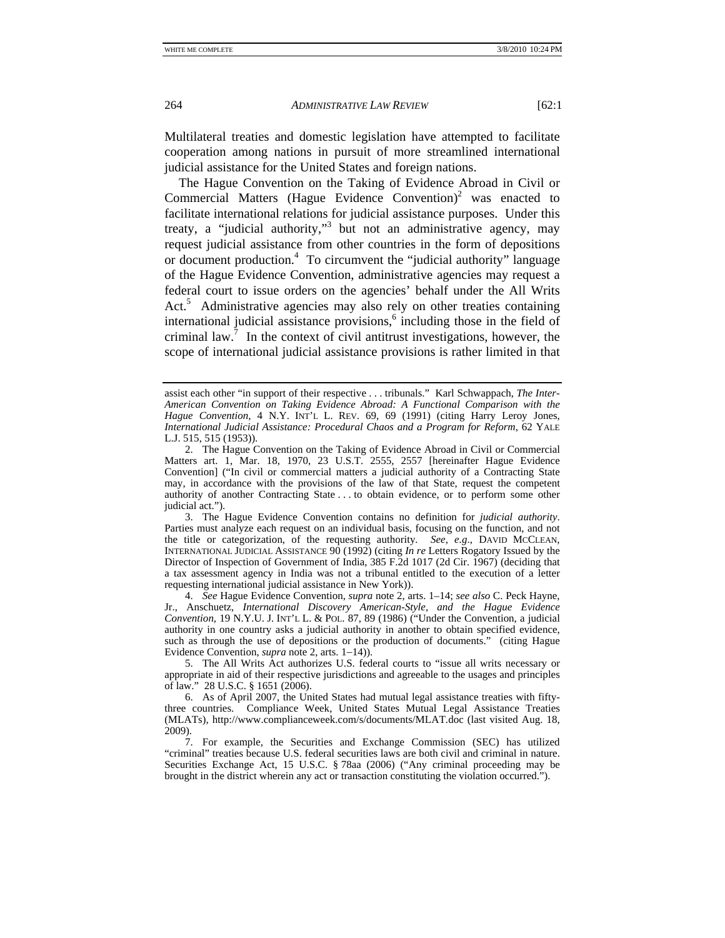Multilateral treaties and domestic legislation have attempted to facilitate cooperation among nations in pursuit of more streamlined international judicial assistance for the United States and foreign nations.

The Hague Convention on the Taking of Evidence Abroad in Civil or Commercial Matters (Hague Evidence Convention)<sup>2</sup> was enacted to facilitate international relations for judicial assistance purposes. Under this treaty, a "judicial authority,"<sup>3</sup> but not an administrative agency, may request judicial assistance from other countries in the form of depositions or document production.<sup>4</sup> To circumvent the "judicial authority" language of the Hague Evidence Convention, administrative agencies may request a federal court to issue orders on the agencies' behalf under the All Writs Act.<sup>5</sup> Administrative agencies may also rely on other treaties containing international judicial assistance provisions,<sup>6</sup> including those in the field of criminal law.<sup>7</sup> In the context of civil antitrust investigations, however, the scope of international judicial assistance provisions is rather limited in that

 3. The Hague Evidence Convention contains no definition for *judicial authority*. Parties must analyze each request on an individual basis, focusing on the function, and not the title or categorization, of the requesting authority*. See, e.g*., DAVID MCCLEAN, INTERNATIONAL JUDICIAL ASSISTANCE 90 (1992) (citing *In re* Letters Rogatory Issued by the Director of Inspection of Government of India, 385 F.2d 1017 (2d Cir. 1967) (deciding that a tax assessment agency in India was not a tribunal entitled to the execution of a letter requesting international judicial assistance in New York)).

 4. *See* Hague Evidence Convention, *supra* note 2, arts. 1–14; *see also* C. Peck Hayne, Jr., Anschuetz*, International Discovery American-Style, and the Hague Evidence Convention*, 19 N.Y.U. J. INT'L L. & POL. 87, 89 (1986) ("Under the Convention, a judicial authority in one country asks a judicial authority in another to obtain specified evidence, such as through the use of depositions or the production of documents." (citing Hague Evidence Convention, *supra* note 2, arts. 1−14)).

 5. The All Writs Act authorizes U.S. federal courts to "issue all writs necessary or appropriate in aid of their respective jurisdictions and agreeable to the usages and principles of law." 28 U.S.C. § 1651 (2006).

 6. As of April 2007, the United States had mutual legal assistance treaties with fiftythree countries. Compliance Week, United States Mutual Legal Assistance Treaties (MLATs), http://www.complianceweek.com/s/documents/MLAT.doc (last visited Aug. 18, 2009).

 7. For example, the Securities and Exchange Commission (SEC) has utilized "criminal" treaties because U.S. federal securities laws are both civil and criminal in nature. Securities Exchange Act, 15 U.S.C. § 78aa (2006) ("Any criminal proceeding may be brought in the district wherein any act or transaction constituting the violation occurred.").

assist each other "in support of their respective . . . tribunals." Karl Schwappach, *The Inter-American Convention on Taking Evidence Abroad: A Functional Comparison with the Hague Convention*, 4 N.Y. INT'L L. REV. 69, 69 (1991) (citing Harry Leroy Jones, *International Judicial Assistance: Procedural Chaos and a Program for Reform*, 62 YALE L.J. 515, 515 (1953)).

 <sup>2.</sup> The Hague Convention on the Taking of Evidence Abroad in Civil or Commercial Matters art. 1, Mar. 18, 1970, 23 U.S.T. 2555, 2557 [hereinafter Hague Evidence Convention] ("In civil or commercial matters a judicial authority of a Contracting State may, in accordance with the provisions of the law of that State, request the competent authority of another Contracting State . . . to obtain evidence, or to perform some other judicial act.").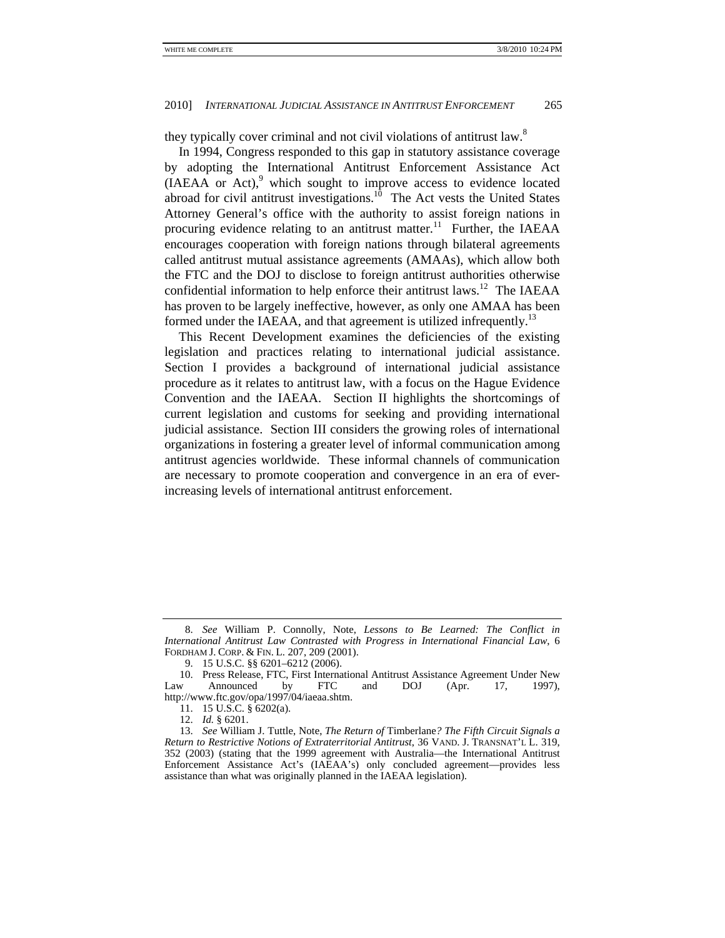they typically cover criminal and not civil violations of antitrust law.<sup>8</sup>

In 1994, Congress responded to this gap in statutory assistance coverage by adopting the International Antitrust Enforcement Assistance Act  $(IAEAA$  or  $Act)$ , which sought to improve access to evidence located abroad for civil antitrust investigations.<sup>10</sup> The Act vests the United States Attorney General's office with the authority to assist foreign nations in procuring evidence relating to an antitrust matter.<sup>11</sup> Further, the IAEAA encourages cooperation with foreign nations through bilateral agreements called antitrust mutual assistance agreements (AMAAs), which allow both the FTC and the DOJ to disclose to foreign antitrust authorities otherwise confidential information to help enforce their antitrust laws.<sup>12</sup> The IAEAA has proven to be largely ineffective, however, as only one AMAA has been formed under the IAEAA, and that agreement is utilized infrequently.<sup>13</sup>

This Recent Development examines the deficiencies of the existing legislation and practices relating to international judicial assistance. Section I provides a background of international judicial assistance procedure as it relates to antitrust law, with a focus on the Hague Evidence Convention and the IAEAA. Section II highlights the shortcomings of current legislation and customs for seeking and providing international judicial assistance. Section III considers the growing roles of international organizations in fostering a greater level of informal communication among antitrust agencies worldwide. These informal channels of communication are necessary to promote cooperation and convergence in an era of everincreasing levels of international antitrust enforcement.

 <sup>8.</sup> *See* William P. Connolly, Note, *Lessons to Be Learned: The Conflict in International Antitrust Law Contrasted with Progress in International Financial Law*, 6 FORDHAM J. CORP. & FIN. L. 207, 209 (2001).

 <sup>9. 15</sup> U.S.C. §§ 6201–6212 (2006).

 <sup>10.</sup> Press Release, FTC, First International Antitrust Assistance Agreement Under New Law Announced by FTC and DOJ (Apr. 17, 1997), http://www.ftc.gov/opa/1997/04/iaeaa.shtm.

 <sup>11. 15</sup> U.S.C. § 6202(a).

 <sup>12.</sup> *Id.* § 6201.

 <sup>13.</sup> *See* William J. Tuttle, Note, *The Return of* Timberlane*? The Fifth Circuit Signals a Return to Restrictive Notions of Extraterritorial Antitrust*, 36 VAND. J. TRANSNAT'L L. 319, 352 (2003) (stating that the 1999 agreement with Australia—the International Antitrust Enforcement Assistance Act's (IAEAA's) only concluded agreement—provides less assistance than what was originally planned in the IAEAA legislation).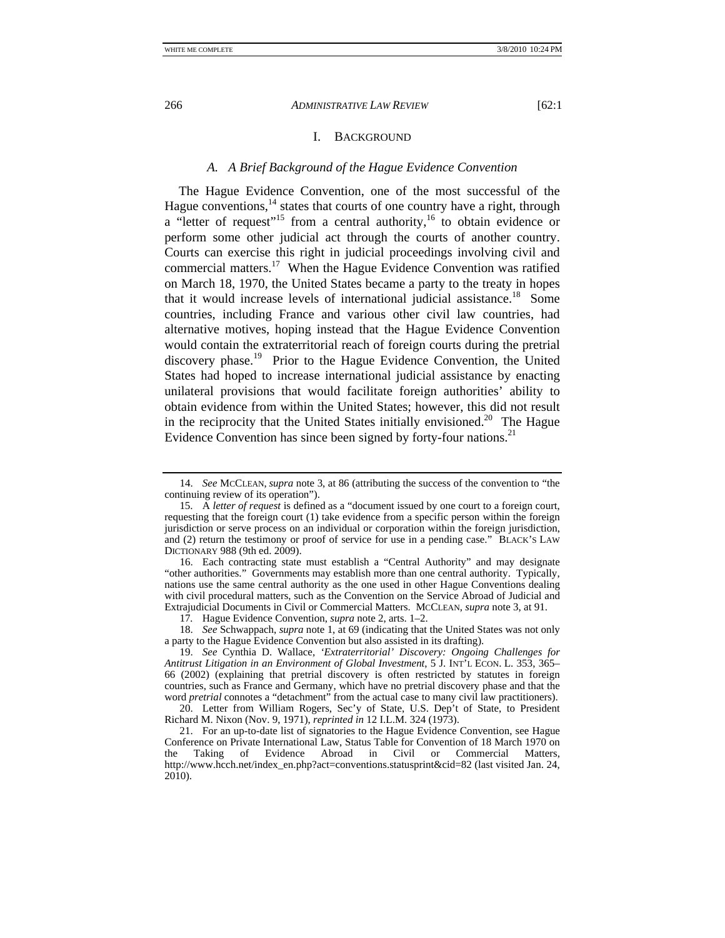## I. BACKGROUND

#### *A. A Brief Background of the Hague Evidence Convention*

The Hague Evidence Convention, one of the most successful of the Hague conventions,<sup>14</sup> states that courts of one country have a right, through a "letter of request"<sup>15</sup> from a central authority,  $\frac{16}{16}$  to obtain evidence or perform some other judicial act through the courts of another country. Courts can exercise this right in judicial proceedings involving civil and commercial matters.<sup>17</sup> When the Hague Evidence Convention was ratified on March 18, 1970, the United States became a party to the treaty in hopes that it would increase levels of international judicial assistance.<sup>18</sup> Some countries, including France and various other civil law countries, had alternative motives, hoping instead that the Hague Evidence Convention would contain the extraterritorial reach of foreign courts during the pretrial discovery phase.<sup>19</sup> Prior to the Hague Evidence Convention, the United States had hoped to increase international judicial assistance by enacting unilateral provisions that would facilitate foreign authorities' ability to obtain evidence from within the United States; however, this did not result in the reciprocity that the United States initially envisioned.<sup>20</sup> The Hague Evidence Convention has since been signed by forty-four nations.<sup>21</sup>

 <sup>14.</sup> *See* MCCLEAN, *supra* note 3, at 86 (attributing the success of the convention to "the continuing review of its operation").

 <sup>15.</sup> A *letter of request* is defined as a "document issued by one court to a foreign court, requesting that the foreign court (1) take evidence from a specific person within the foreign jurisdiction or serve process on an individual or corporation within the foreign jurisdiction, and (2) return the testimony or proof of service for use in a pending case." BLACK'S LAW DICTIONARY 988 (9th ed. 2009).

 <sup>16.</sup> Each contracting state must establish a "Central Authority" and may designate "other authorities." Governments may establish more than one central authority. Typically, nations use the same central authority as the one used in other Hague Conventions dealing with civil procedural matters, such as the Convention on the Service Abroad of Judicial and Extrajudicial Documents in Civil or Commercial Matters. MCCLEAN, *supra* note 3, at 91.

<sup>17</sup>*.* Hague Evidence Convention, *supra* note 2, arts. 1–2.

 <sup>18.</sup> *See* Schwappach, *supra* note 1, at 69 (indicating that the United States was not only a party to the Hague Evidence Convention but also assisted in its drafting).

 <sup>19.</sup> *See* Cynthia D. Wallace, *'Extraterritorial' Discovery: Ongoing Challenges for Antitrust Litigation in an Environment of Global Investment*, 5 J. INT'L ECON. L. 353, 365– 66 (2002) (explaining that pretrial discovery is often restricted by statutes in foreign countries, such as France and Germany, which have no pretrial discovery phase and that the word *pretrial* connotes a "detachment" from the actual case to many civil law practitioners).

 <sup>20.</sup> Letter from William Rogers, Sec'y of State, U.S. Dep't of State, to President Richard M. Nixon (Nov. 9, 1971), *reprinted in* 12 I.L.M. 324 (1973).

 <sup>21.</sup> For an up-to-date list of signatories to the Hague Evidence Convention, see Hague Conference on Private International Law, Status Table for Convention of 18 March 1970 on the Taking of Evidence Abroad in Civil or Commercial Matters. the Taking of Evidence Abroad in Civil or Commercial Matters, http://www.hcch.net/index\_en.php?act=conventions.statusprint&cid=82 (last visited Jan. 24, 2010).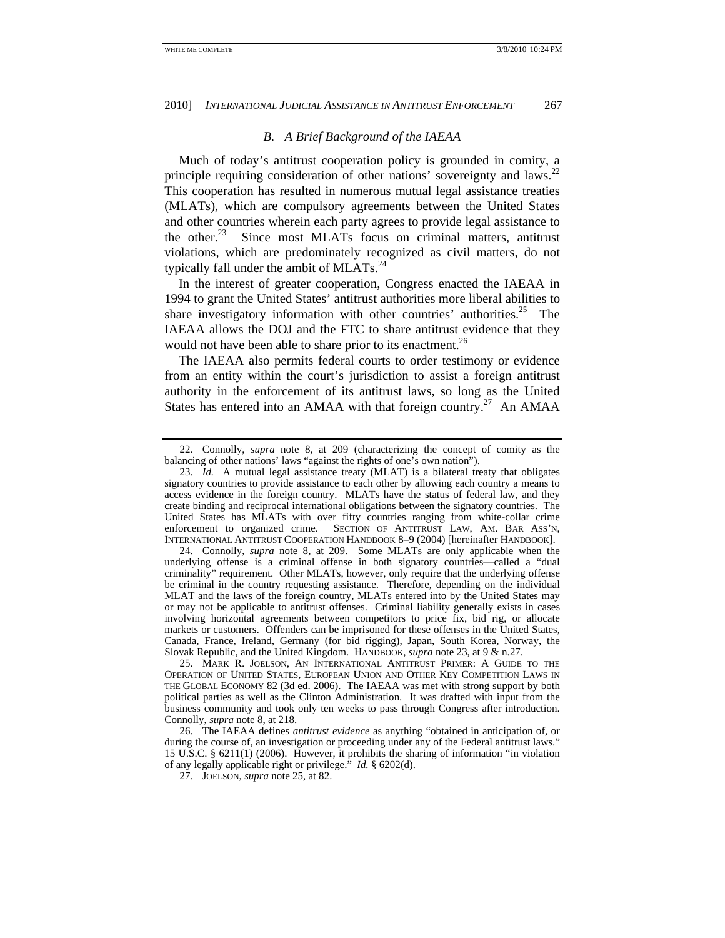## *B. A Brief Background of the IAEAA*

Much of today's antitrust cooperation policy is grounded in comity, a principle requiring consideration of other nations' sovereignty and laws.<sup>22</sup> This cooperation has resulted in numerous mutual legal assistance treaties (MLATs), which are compulsory agreements between the United States and other countries wherein each party agrees to provide legal assistance to the other.<sup>23</sup> Since most MLATs focus on criminal matters, antitrust Since most MLATs focus on criminal matters, antitrust violations, which are predominately recognized as civil matters, do not typically fall under the ambit of  $MLATs.<sup>24</sup>$ 

In the interest of greater cooperation, Congress enacted the IAEAA in 1994 to grant the United States' antitrust authorities more liberal abilities to share investigatory information with other countries' authorities.<sup>25</sup> The IAEAA allows the DOJ and the FTC to share antitrust evidence that they would not have been able to share prior to its enactment.<sup>26</sup>

The IAEAA also permits federal courts to order testimony or evidence from an entity within the court's jurisdiction to assist a foreign antitrust authority in the enforcement of its antitrust laws, so long as the United States has entered into an AMAA with that foreign country.<sup>27</sup> An AMAA

 <sup>22.</sup> Connolly, *supra* note 8, at 209 (characterizing the concept of comity as the balancing of other nations' laws "against the rights of one's own nation").

 <sup>23.</sup> *Id.* A mutual legal assistance treaty (MLAT) is a bilateral treaty that obligates signatory countries to provide assistance to each other by allowing each country a means to access evidence in the foreign country. MLATs have the status of federal law, and they create binding and reciprocal international obligations between the signatory countries. The United States has MLATs with over fifty countries ranging from white-collar crime enforcement to organized crime. SECTION OF ANTITRUST LAW, AM. BAR ASS'N, INTERNATIONAL ANTITRUST COOPERATION HANDBOOK 8–9 (2004) [hereinafter HANDBOOK].

 <sup>24.</sup> Connolly, *supra* note 8, at 209. Some MLATs are only applicable when the underlying offense is a criminal offense in both signatory countries—called a "dual criminality" requirement. Other MLATs, however, only require that the underlying offense be criminal in the country requesting assistance. Therefore, depending on the individual MLAT and the laws of the foreign country, MLATs entered into by the United States may or may not be applicable to antitrust offenses. Criminal liability generally exists in cases involving horizontal agreements between competitors to price fix, bid rig, or allocate markets or customers. Offenders can be imprisoned for these offenses in the United States, Canada, France, Ireland, Germany (for bid rigging), Japan, South Korea, Norway, the Slovak Republic, and the United Kingdom. HANDBOOK, *supra* note 23, at 9 & n.27.

 <sup>25.</sup> MARK R. JOELSON, AN INTERNATIONAL ANTITRUST PRIMER: A GUIDE TO THE OPERATION OF UNITED STATES, EUROPEAN UNION AND OTHER KEY COMPETITION LAWS IN THE GLOBAL ECONOMY 82 (3d ed. 2006). The IAEAA was met with strong support by both political parties as well as the Clinton Administration. It was drafted with input from the business community and took only ten weeks to pass through Congress after introduction. Connolly, *supra* note 8, at 218.

 <sup>26.</sup> The IAEAA defines *antitrust evidence* as anything "obtained in anticipation of, or during the course of, an investigation or proceeding under any of the Federal antitrust laws." 15 U.S.C. § 6211(1) (2006). However, it prohibits the sharing of information "in violation of any legally applicable right or privilege." *Id.* § 6202(d).

<sup>27</sup>*.* JOELSON, *supra* note 25, at 82.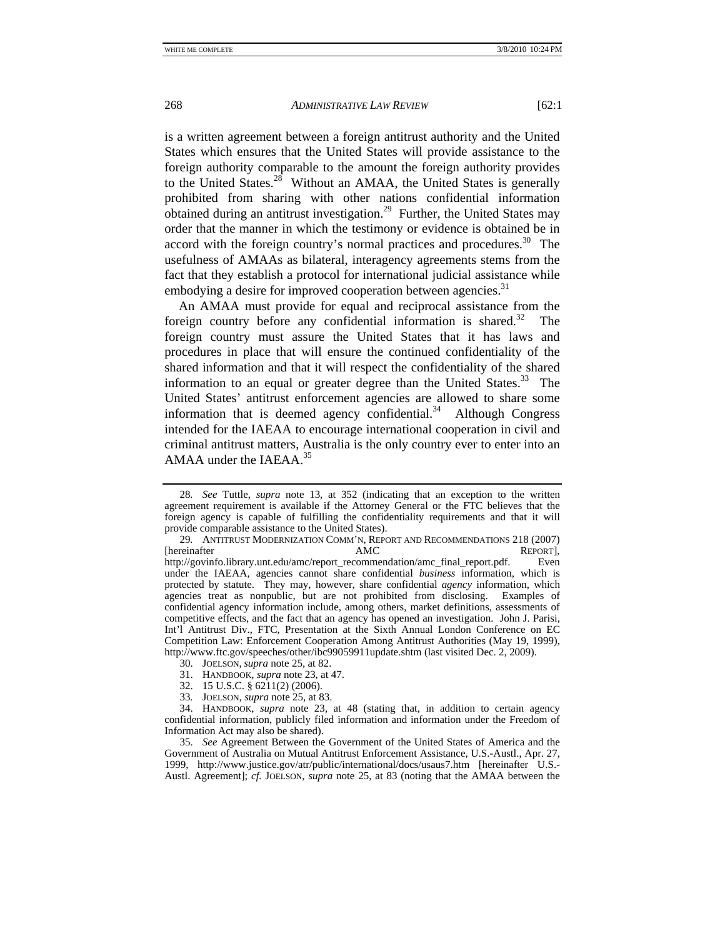is a written agreement between a foreign antitrust authority and the United States which ensures that the United States will provide assistance to the foreign authority comparable to the amount the foreign authority provides to the United States.<sup>28</sup> Without an AMAA, the United States is generally prohibited from sharing with other nations confidential information obtained during an antitrust investigation.<sup>29</sup> Further, the United States may order that the manner in which the testimony or evidence is obtained be in accord with the foreign country's normal practices and procedures.<sup>30</sup> The usefulness of AMAAs as bilateral, interagency agreements stems from the fact that they establish a protocol for international judicial assistance while embodying a desire for improved cooperation between agencies.<sup>31</sup>

An AMAA must provide for equal and reciprocal assistance from the foreign country before any confidential information is shared.<sup>32</sup> The foreign country must assure the United States that it has laws and procedures in place that will ensure the continued confidentiality of the shared information and that it will respect the confidentiality of the shared information to an equal or greater degree than the United States.<sup>33</sup> The United States' antitrust enforcement agencies are allowed to share some information that is deemed agency confidential. $34$  Although Congress intended for the IAEAA to encourage international cooperation in civil and criminal antitrust matters, Australia is the only country ever to enter into an AMAA under the IAEAA.<sup>35</sup>

<sup>28</sup>*. See* Tuttle, *supra* note 13, at 352 (indicating that an exception to the written agreement requirement is available if the Attorney General or the FTC believes that the foreign agency is capable of fulfilling the confidentiality requirements and that it will provide comparable assistance to the United States).

<sup>29</sup>*.* ANTITRUST MODERNIZATION COMM'N, REPORT AND RECOMMENDATIONS 218 (2007) [hereinafter AMC REPORT], http://govinfo.library.unt.edu/amc/report\_recommendation/amc\_final\_report.pdf. Even under the IAEAA, agencies cannot share confidential *business* information, which is protected by statute. They may, however, share confidential *agency* information, which agencies treat as nonpublic, but are not prohibited from disclosing. Examples of confidential agency information include, among others, market definitions, assessments of competitive effects, and the fact that an agency has opened an investigation. John J. Parisi, Int'l Antitrust Div., FTC, Presentation at the Sixth Annual London Conference on EC Competition Law: Enforcement Cooperation Among Antitrust Authorities (May 19, 1999), http://www.ftc.gov/speeches/other/ibc99059911update.shtm (last visited Dec. 2, 2009).

 <sup>30.</sup> JOELSON, *supra* note 25, at 82.

 <sup>31.</sup> HANDBOOK, *supra* note 23, at 47.

 <sup>32. 15</sup> U.S.C. § 6211(2) (2006).

<sup>33</sup>*.* JOELSON, *supra* note 25, at 83.

 <sup>34.</sup> HANDBOOK, *supra* note 23, at 48 (stating that, in addition to certain agency confidential information, publicly filed information and information under the Freedom of Information Act may also be shared).

 <sup>35.</sup> *See* Agreement Between the Government of the United States of America and the Government of Australia on Mutual Antitrust Enforcement Assistance, U.S.-Austl., Apr. 27, 1999, http://www.justice.gov/atr/public/international/docs/usaus7.htm [hereinafter U.S.- Austl. Agreement]; *cf.* JOELSON, *supra* note 25, at 83 (noting that the AMAA between the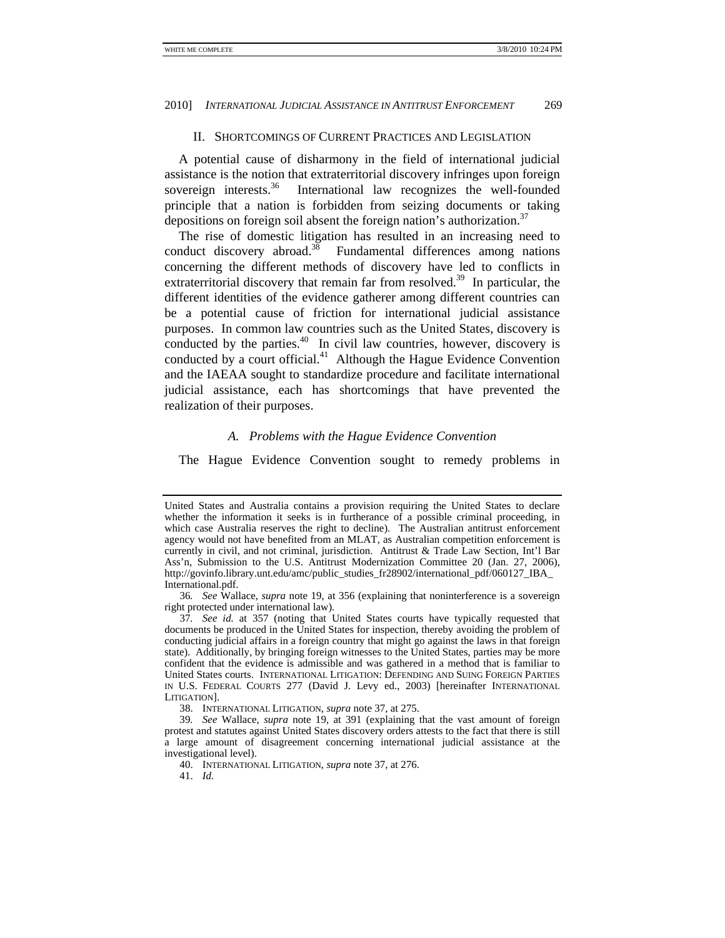#### II. SHORTCOMINGS OF CURRENT PRACTICES AND LEGISLATION

A potential cause of disharmony in the field of international judicial assistance is the notion that extraterritorial discovery infringes upon foreign sovereign interests. $36$  International law recognizes the well-founded principle that a nation is forbidden from seizing documents or taking depositions on foreign soil absent the foreign nation's authorization.<sup>37</sup>

The rise of domestic litigation has resulted in an increasing need to conduct discovery abroad. $3\overline{8}$  Fundamental differences among nations concerning the different methods of discovery have led to conflicts in extraterritorial discovery that remain far from resolved.<sup>39</sup> In particular, the different identities of the evidence gatherer among different countries can be a potential cause of friction for international judicial assistance purposes. In common law countries such as the United States, discovery is conducted by the parties. $40$  In civil law countries, however, discovery is conducted by a court official. $41$  Although the Hague Evidence Convention and the IAEAA sought to standardize procedure and facilitate international judicial assistance, each has shortcomings that have prevented the realization of their purposes.

## *A. Problems with the Hague Evidence Convention*

The Hague Evidence Convention sought to remedy problems in

41. *Id.*

United States and Australia contains a provision requiring the United States to declare whether the information it seeks is in furtherance of a possible criminal proceeding, in which case Australia reserves the right to decline). The Australian antitrust enforcement agency would not have benefited from an MLAT, as Australian competition enforcement is currently in civil, and not criminal, jurisdiction. Antitrust & Trade Law Section, Int'l Bar Ass'n, Submission to the U.S. Antitrust Modernization Committee 20 (Jan. 27, 2006), http://govinfo.library.unt.edu/amc/public\_studies\_fr28902/international\_pdf/060127\_IBA\_ International.pdf.

<sup>36</sup>*. See* Wallace, *supra* note 19, at 356 (explaining that noninterference is a sovereign right protected under international law).

<sup>37</sup>*. See id.* at 357 (noting that United States courts have typically requested that documents be produced in the United States for inspection, thereby avoiding the problem of conducting judicial affairs in a foreign country that might go against the laws in that foreign state). Additionally, by bringing foreign witnesses to the United States, parties may be more confident that the evidence is admissible and was gathered in a method that is familiar to United States courts. INTERNATIONAL LITIGATION: DEFENDING AND SUING FOREIGN PARTIES IN U.S. FEDERAL COURTS 277 (David J. Levy ed., 2003) [hereinafter INTERNATIONAL LITIGATION].

 <sup>38.</sup> INTERNATIONAL LITIGATION, *supra* note 37, at 275.

<sup>39</sup>*. See* Wallace, *supra* note 19, at 391 (explaining that the vast amount of foreign protest and statutes against United States discovery orders attests to the fact that there is still a large amount of disagreement concerning international judicial assistance at the investigational level).

 <sup>40.</sup> INTERNATIONAL LITIGATION, *supra* note 37, at 276.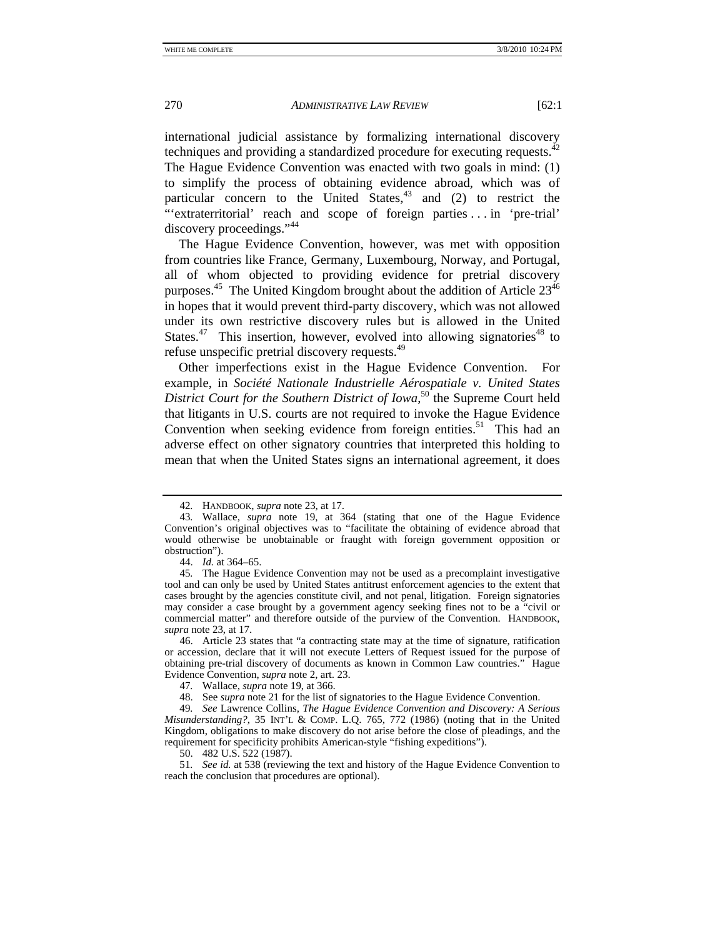international judicial assistance by formalizing international discovery techniques and providing a standardized procedure for executing requests.<sup>42</sup> The Hague Evidence Convention was enacted with two goals in mind: (1) to simplify the process of obtaining evidence abroad, which was of particular concern to the United States, $43$  and (2) to restrict the "'extraterritorial' reach and scope of foreign parties . . . in 'pre-trial' discovery proceedings."<sup>44</sup>

The Hague Evidence Convention, however, was met with opposition from countries like France, Germany, Luxembourg, Norway, and Portugal, all of whom objected to providing evidence for pretrial discovery purposes.<sup>45</sup> The United Kingdom brought about the addition of Article  $23^{46}$ in hopes that it would prevent third-party discovery, which was not allowed under its own restrictive discovery rules but is allowed in the United States.<sup>47</sup> This insertion, however, evolved into allowing signatories<sup>48</sup> to refuse unspecific pretrial discovery requests.49

Other imperfections exist in the Hague Evidence Convention. For example, in *Société Nationale Industrielle Aérospatiale v. United States*  District Court for the Southern District of Iowa,<sup>50</sup> the Supreme Court held that litigants in U.S. courts are not required to invoke the Hague Evidence Convention when seeking evidence from foreign entities.<sup>51</sup> This had an adverse effect on other signatory countries that interpreted this holding to mean that when the United States signs an international agreement, it does

50. 482 U.S. 522 (1987).

<sup>42</sup>*.* HANDBOOK, *supra* note 23, at 17.

<sup>43</sup>*.* Wallace, *supra* note 19, at 364 (stating that one of the Hague Evidence Convention's original objectives was to "facilitate the obtaining of evidence abroad that would otherwise be unobtainable or fraught with foreign government opposition or obstruction").

 <sup>44.</sup> *Id.* at 364–65.

<sup>45</sup>*.* The Hague Evidence Convention may not be used as a precomplaint investigative tool and can only be used by United States antitrust enforcement agencies to the extent that cases brought by the agencies constitute civil, and not penal, litigation. Foreign signatories may consider a case brought by a government agency seeking fines not to be a "civil or commercial matter" and therefore outside of the purview of the Convention. HANDBOOK, *supra* note 23, at 17.

 <sup>46.</sup> Article 23 states that "a contracting state may at the time of signature, ratification or accession, declare that it will not execute Letters of Request issued for the purpose of obtaining pre-trial discovery of documents as known in Common Law countries." Hague Evidence Convention, *supra* note 2, art. 23.

<sup>47</sup>*.* Wallace, *supra* note 19, at 366.

 <sup>48.</sup> See *supra* note 21 for the list of signatories to the Hague Evidence Convention.

<sup>49</sup>*. See* Lawrence Collins, *The Hague Evidence Convention and Discovery: A Serious Misunderstanding?*, 35 INT'L & COMP. L.Q. 765, 772 (1986) (noting that in the United Kingdom, obligations to make discovery do not arise before the close of pleadings, and the requirement for specificity prohibits American-style "fishing expeditions").

<sup>51</sup>*. See id.* at 538 (reviewing the text and history of the Hague Evidence Convention to reach the conclusion that procedures are optional).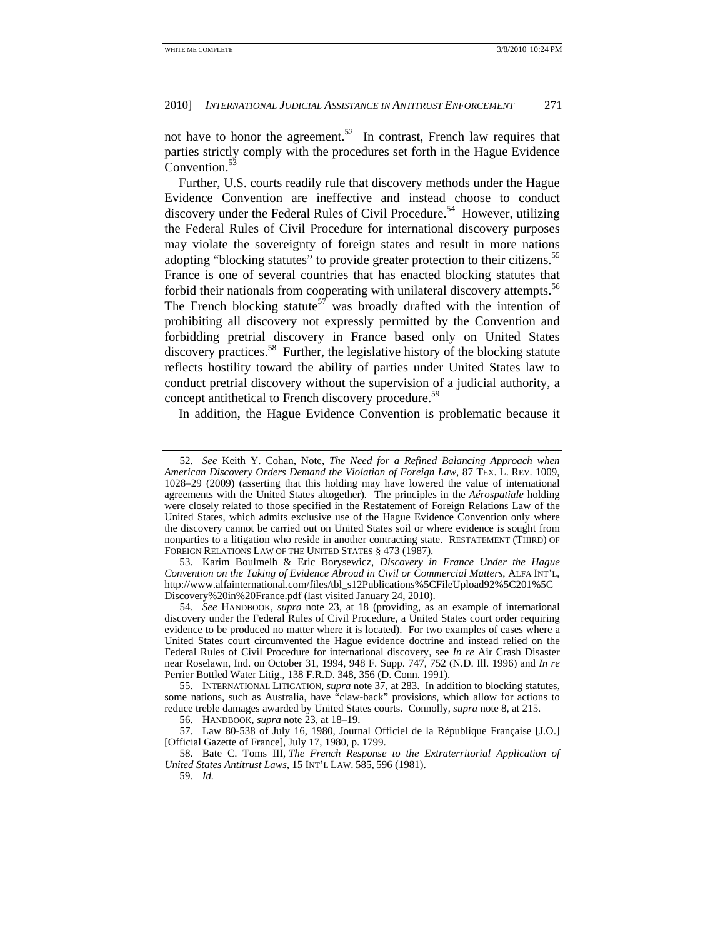not have to honor the agreement.<sup>52</sup> In contrast, French law requires that parties strictly comply with the procedures set forth in the Hague Evidence Convention.<sup>53</sup>

Further, U.S. courts readily rule that discovery methods under the Hague Evidence Convention are ineffective and instead choose to conduct discovery under the Federal Rules of Civil Procedure.<sup>54</sup> However, utilizing the Federal Rules of Civil Procedure for international discovery purposes may violate the sovereignty of foreign states and result in more nations adopting "blocking statutes" to provide greater protection to their citizens.<sup>55</sup> France is one of several countries that has enacted blocking statutes that forbid their nationals from cooperating with unilateral discovery attempts.<sup>56</sup> The French blocking statute<sup>57</sup> was broadly drafted with the intention of prohibiting all discovery not expressly permitted by the Convention and forbidding pretrial discovery in France based only on United States discovery practices.<sup>58</sup> Further, the legislative history of the blocking statute reflects hostility toward the ability of parties under United States law to conduct pretrial discovery without the supervision of a judicial authority, a concept antithetical to French discovery procedure.<sup>59</sup>

In addition, the Hague Evidence Convention is problematic because it

 53. Karim Boulmelh & Eric Borysewicz, *Discovery in France Under the Hague Convention on the Taking of Evidence Abroad in Civil or Commercial Matters*, ALFA INT'L, http://www.alfainternational.com/files/tbl\_s12Publications%5CFileUpload92%5C201%5C Discovery%20in%20France.pdf (last visited January 24, 2010).

54*. See* HANDBOOK, *supra* note 23, at 18 (providing, as an example of international discovery under the Federal Rules of Civil Procedure, a United States court order requiring evidence to be produced no matter where it is located). For two examples of cases where a United States court circumvented the Hague evidence doctrine and instead relied on the Federal Rules of Civil Procedure for international discovery, see *In re* Air Crash Disaster near Roselawn, Ind. on October 31, 1994, 948 F. Supp. 747, 752 (N.D. Ill. 1996) and *In re*  Perrier Bottled Water Litig., 138 F.R.D. 348, 356 (D. Conn. 1991).

55*.* INTERNATIONAL LITIGATION, *supra* note 37, at 283. In addition to blocking statutes, some nations, such as Australia, have "claw-back" provisions, which allow for actions to reduce treble damages awarded by United States courts. Connolly, *supra* note 8, at 215.

56*.* HANDBOOK, *supra* note 23, at 18–19.

 57. Law 80-538 of July 16, 1980, Journal Officiel de la République Française [J.O.] [Official Gazette of France], July 17, 1980, p. 1799.

58*.* Bate C. Toms III, *The French Response to the Extraterritorial Application of United States Antitrust Laws*, 15 INT'L LAW. 585, 596 (1981).

59*. Id.*

 <sup>52.</sup> *See* Keith Y. Cohan, Note, *The Need for a Refined Balancing Approach when American Discovery Orders Demand the Violation of Foreign Law*, 87 TEX. L. REV. 1009, 1028–29 (2009) (asserting that this holding may have lowered the value of international agreements with the United States altogether). The principles in the *Aérospatiale* holding were closely related to those specified in the Restatement of Foreign Relations Law of the United States, which admits exclusive use of the Hague Evidence Convention only where the discovery cannot be carried out on United States soil or where evidence is sought from nonparties to a litigation who reside in another contracting state. RESTATEMENT (THIRD) OF FOREIGN RELATIONS LAW OF THE UNITED STATES § 473 (1987).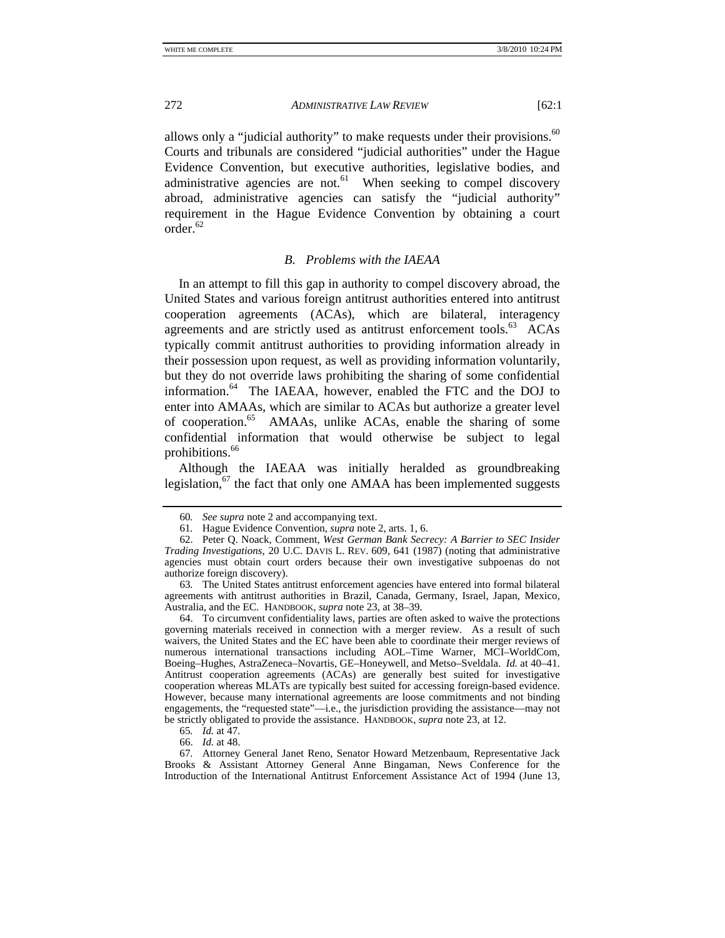allows only a "judicial authority" to make requests under their provisions. $60$ Courts and tribunals are considered "judicial authorities" under the Hague Evidence Convention, but executive authorities, legislative bodies, and administrative agencies are not. $61$  When seeking to compel discovery abroad, administrative agencies can satisfy the "judicial authority" requirement in the Hague Evidence Convention by obtaining a court  $\overline{\text{order}}^{62}$ 

# *B. Problems with the IAEAA*

In an attempt to fill this gap in authority to compel discovery abroad, the United States and various foreign antitrust authorities entered into antitrust cooperation agreements (ACAs), which are bilateral, interagency agreements and are strictly used as antitrust enforcement tools.<sup>63</sup> ACAs typically commit antitrust authorities to providing information already in their possession upon request, as well as providing information voluntarily, but they do not override laws prohibiting the sharing of some confidential information.64 The IAEAA, however, enabled the FTC and the DOJ to enter into AMAAs, which are similar to ACAs but authorize a greater level of cooperation.65 AMAAs, unlike ACAs, enable the sharing of some confidential information that would otherwise be subject to legal prohibitions.<sup>66</sup>

Although the IAEAA was initially heralded as groundbreaking legislation, $67$  the fact that only one AMAA has been implemented suggests

 64. To circumvent confidentiality laws, parties are often asked to waive the protections governing materials received in connection with a merger review. As a result of such waivers, the United States and the EC have been able to coordinate their merger reviews of numerous international transactions including AOL–Time Warner, MCI–WorldCom, Boeing–Hughes, AstraZeneca–Novartis, GE–Honeywell, and Metso–Sveldala. *Id.* at 40–41. Antitrust cooperation agreements (ACAs) are generally best suited for investigative cooperation whereas MLATs are typically best suited for accessing foreign-based evidence. However, because many international agreements are loose commitments and not binding engagements, the "requested state"—i.e., the jurisdiction providing the assistance—may not be strictly obligated to provide the assistance. HANDBOOK, *supra* note 23, at 12.

66. *Id.* at 48.

67*.* Attorney General Janet Reno, Senator Howard Metzenbaum, Representative Jack Brooks & Assistant Attorney General Anne Bingaman, News Conference for the Introduction of the International Antitrust Enforcement Assistance Act of 1994 (June 13,

<sup>60</sup>*. See supra* note 2 and accompanying text.

<sup>61</sup>*.* Hague Evidence Convention, *supra* note 2, arts. 1, 6.

 <sup>62.</sup> Peter Q. Noack, Comment, *West German Bank Secrecy: A Barrier to SEC Insider Trading Investigations*, 20 U.C. DAVIS L. REV. 609, 641 (1987) (noting that administrative agencies must obtain court orders because their own investigative subpoenas do not authorize foreign discovery).

<sup>63</sup>*.* The United States antitrust enforcement agencies have entered into formal bilateral agreements with antitrust authorities in Brazil, Canada, Germany, Israel, Japan, Mexico, Australia, and the EC. HANDBOOK, *supra* note 23, at 38–39.

<sup>65</sup>*. Id.* at 47.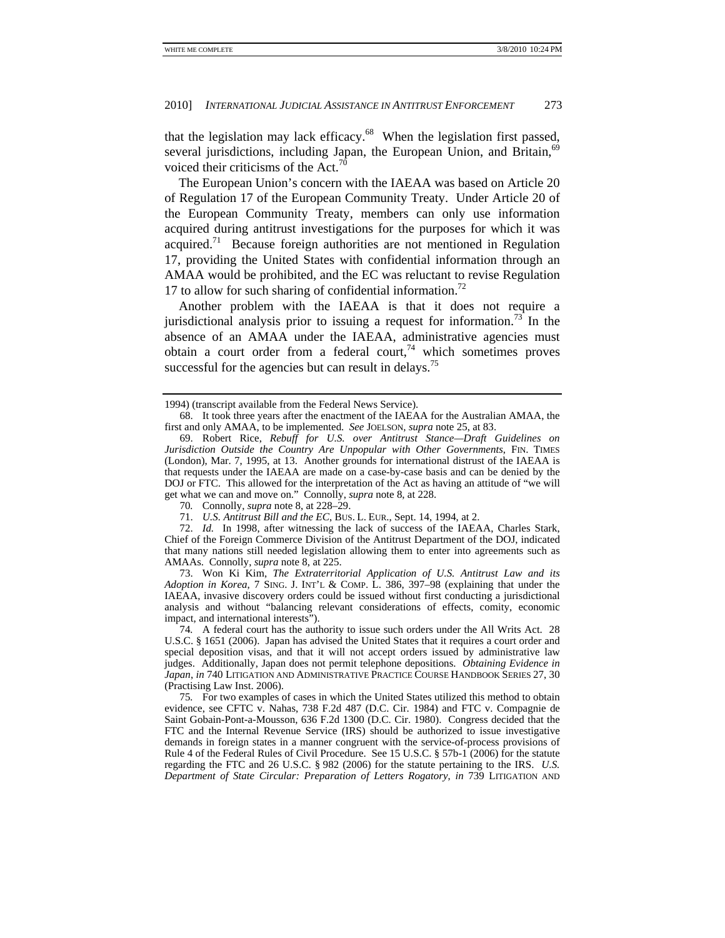that the legislation may lack efficacy. $68$  When the legislation first passed, several jurisdictions, including Japan, the European Union, and Britain,<sup>69</sup> voiced their criticisms of the Act.<sup>70</sup>

The European Union's concern with the IAEAA was based on Article 20 of Regulation 17 of the European Community Treaty. Under Article 20 of the European Community Treaty, members can only use information acquired during antitrust investigations for the purposes for which it was acquired.71 Because foreign authorities are not mentioned in Regulation 17, providing the United States with confidential information through an AMAA would be prohibited, and the EC was reluctant to revise Regulation 17 to allow for such sharing of confidential information.<sup>72</sup>

Another problem with the IAEAA is that it does not require a jurisdictional analysis prior to issuing a request for information.<sup>73</sup> In the absence of an AMAA under the IAEAA, administrative agencies must obtain a court order from a federal court,  $74$  which sometimes proves successful for the agencies but can result in delays.<sup>75</sup>

 73. Won Ki Kim, *The Extraterritorial Application of U.S. Antitrust Law and its Adoption in Korea*, 7 SING. J. INT'L & COMP. L. 386, 397–98 (explaining that under the IAEAA, invasive discovery orders could be issued without first conducting a jurisdictional analysis and without "balancing relevant considerations of effects, comity, economic impact, and international interests").

74*.* A federal court has the authority to issue such orders under the All Writs Act.28 U.S.C. § 1651 (2006). Japan has advised the United States that it requires a court order and special deposition visas, and that it will not accept orders issued by administrative law judges. Additionally, Japan does not permit telephone depositions. *Obtaining Evidence in Japan*, *in* 740 LITIGATION AND ADMINISTRATIVE PRACTICE COURSE HANDBOOK SERIES 27, 30 (Practising Law Inst. 2006).

75*.* For two examples of cases in which the United States utilized this method to obtain evidence, see CFTC v. Nahas, 738 F.2d 487 (D.C. Cir. 1984) and FTC v. Compagnie de Saint Gobain-Pont-a-Mousson, 636 F.2d 1300 (D.C. Cir. 1980). Congress decided that the FTC and the Internal Revenue Service (IRS) should be authorized to issue investigative demands in foreign states in a manner congruent with the service-of-process provisions of Rule 4 of the Federal Rules of Civil Procedure. See 15 U.S.C. § 57b-1 (2006) for the statute regarding the FTC and 26 U.S.C. § 982 (2006) for the statute pertaining to the IRS. *U.S. Department of State Circular: Preparation of Letters Rogatory*, *in* 739 LITIGATION AND

<sup>1994) (</sup>transcript available from the Federal News Service).

 <sup>68.</sup> It took three years after the enactment of the IAEAA for the Australian AMAA, the first and only AMAA, to be implemented. *See* JOELSON, *supra* note 25, at 83.

 <sup>69.</sup> Robert Rice, *Rebuff for U.S. over Antitrust Stance—Draft Guidelines on Jurisdiction Outside the Country Are Unpopular with Other Governments*, FIN. TIMES (London), Mar. 7, 1995, at 13. Another grounds for international distrust of the IAEAA is that requests under the IAEAA are made on a case-by-case basis and can be denied by the DOJ or FTC. This allowed for the interpretation of the Act as having an attitude of "we will get what we can and move on." Connolly, *supra* note 8, at 228.

<sup>70</sup>*.* Connolly, *supra* note 8, at 228–29.

 <sup>71.</sup> *U.S. Antitrust Bill and the EC*, BUS. L. EUR., Sept. 14, 1994, at 2.

 <sup>72.</sup> *Id.* In 1998, after witnessing the lack of success of the IAEAA, Charles Stark, Chief of the Foreign Commerce Division of the Antitrust Department of the DOJ, indicated that many nations still needed legislation allowing them to enter into agreements such as AMAAs. Connolly, *supra* note 8, at 225.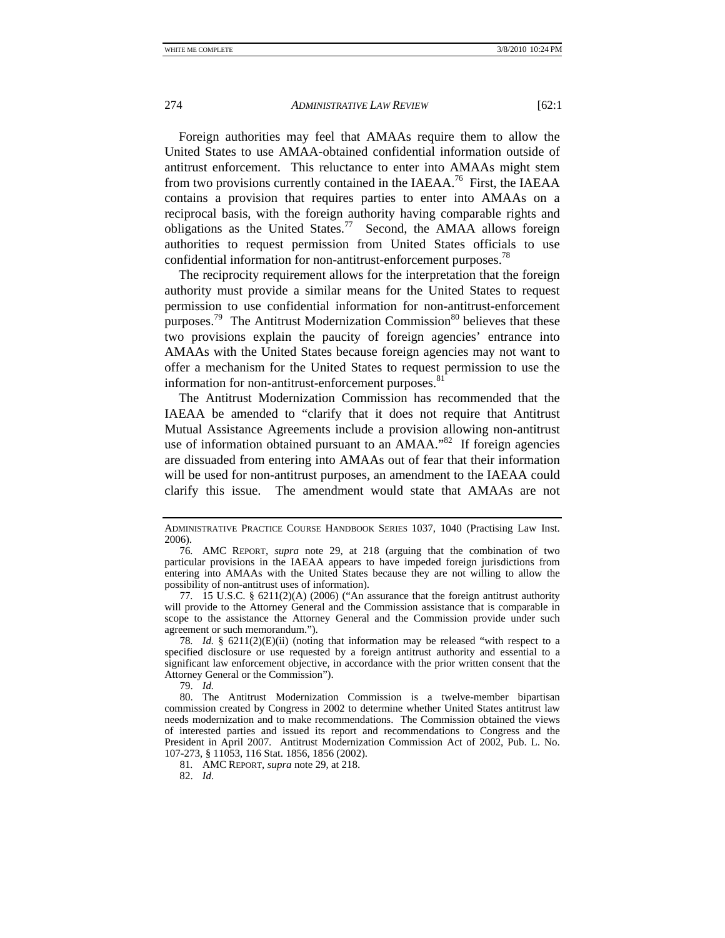Foreign authorities may feel that AMAAs require them to allow the United States to use AMAA-obtained confidential information outside of antitrust enforcement. This reluctance to enter into AMAAs might stem from two provisions currently contained in the IAEAA.<sup>76</sup> First, the IAEAA contains a provision that requires parties to enter into AMAAs on a reciprocal basis, with the foreign authority having comparable rights and obligations as the United States.<sup>77</sup> Second, the AMAA allows foreign authorities to request permission from United States officials to use confidential information for non-antitrust-enforcement purposes.<sup>78</sup>

The reciprocity requirement allows for the interpretation that the foreign authority must provide a similar means for the United States to request permission to use confidential information for non-antitrust-enforcement purposes.<sup>79</sup> The Antitrust Modernization Commission<sup>80</sup> believes that these two provisions explain the paucity of foreign agencies' entrance into AMAAs with the United States because foreign agencies may not want to offer a mechanism for the United States to request permission to use the information for non-antitrust-enforcement purposes.<sup>81</sup>

The Antitrust Modernization Commission has recommended that the IAEAA be amended to "clarify that it does not require that Antitrust Mutual Assistance Agreements include a provision allowing non-antitrust use of information obtained pursuant to an AMAA."<sup>82</sup> If foreign agencies are dissuaded from entering into AMAAs out of fear that their information will be used for non-antitrust purposes, an amendment to the IAEAA could clarify this issue. The amendment would state that AMAAs are not

82. *Id*.

ADMINISTRATIVE PRACTICE COURSE HANDBOOK SERIES 1037, 1040 (Practising Law Inst. 2006).

<sup>76</sup>*.* AMC REPORT, *supra* note 29, at 218 (arguing that the combination of two particular provisions in the IAEAA appears to have impeded foreign jurisdictions from entering into AMAAs with the United States because they are not willing to allow the possibility of non-antitrust uses of information).

<sup>77</sup>*.* 15 U.S.C. § 6211(2)(A) (2006) ("An assurance that the foreign antitrust authority will provide to the Attorney General and the Commission assistance that is comparable in scope to the assistance the Attorney General and the Commission provide under such agreement or such memorandum.").

<sup>78</sup>*. Id.* § 6211(2)(E)(ii) (noting that information may be released "with respect to a specified disclosure or use requested by a foreign antitrust authority and essential to a significant law enforcement objective, in accordance with the prior written consent that the Attorney General or the Commission").

 <sup>79.</sup> *Id.*

 <sup>80.</sup> The Antitrust Modernization Commission is a twelve-member bipartisan commission created by Congress in 2002 to determine whether United States antitrust law needs modernization and to make recommendations. The Commission obtained the views of interested parties and issued its report and recommendations to Congress and the President in April 2007. Antitrust Modernization Commission Act of 2002, Pub. L. No. 107-273, § 11053, 116 Stat. 1856, 1856 (2002).

<sup>81</sup>*.* AMC REPORT, *supra* note 29, at 218.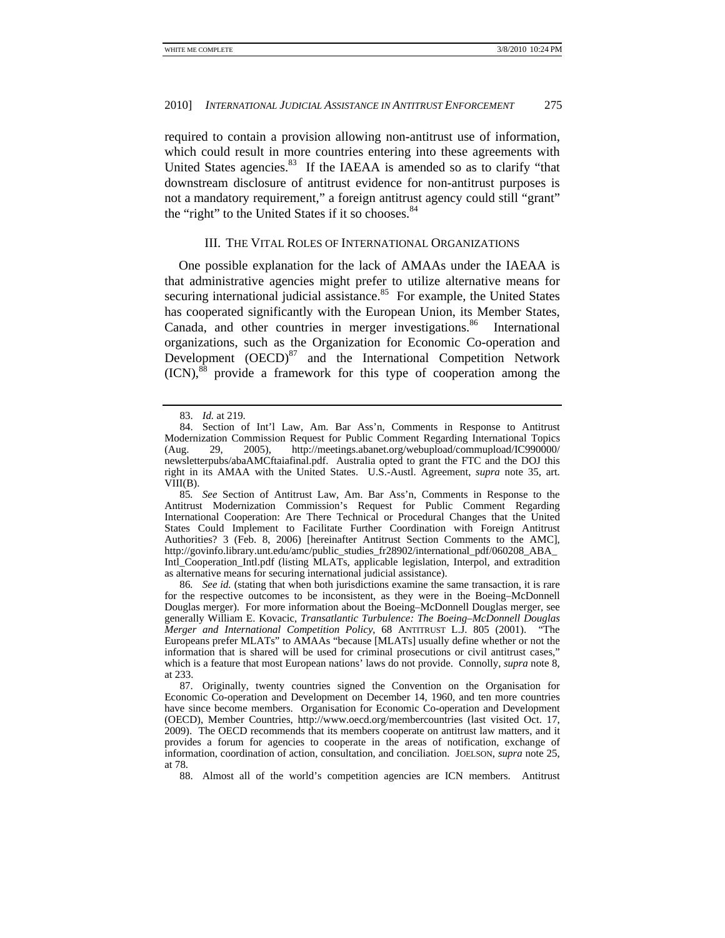required to contain a provision allowing non-antitrust use of information, which could result in more countries entering into these agreements with United States agencies.<sup>83</sup> If the IAEAA is amended so as to clarify "that downstream disclosure of antitrust evidence for non-antitrust purposes is not a mandatory requirement," a foreign antitrust agency could still "grant" the "right" to the United States if it so chooses.<sup>84</sup>

## III. THE VITAL ROLES OF INTERNATIONAL ORGANIZATIONS

One possible explanation for the lack of AMAAs under the IAEAA is that administrative agencies might prefer to utilize alternative means for securing international judicial assistance. $85$  For example, the United States has cooperated significantly with the European Union, its Member States, Canada, and other countries in merger investigations.<sup>86</sup> International organizations, such as the Organization for Economic Co-operation and Development  $(OECD)^{87}$  and the International Competition Network  $(ICN)$ ,<sup>88</sup> provide a framework for this type of cooperation among the

85*. See* Section of Antitrust Law, Am. Bar Ass'n, Comments in Response to the Antitrust Modernization Commission's Request for Public Comment Regarding International Cooperation: Are There Technical or Procedural Changes that the United States Could Implement to Facilitate Further Coordination with Foreign Antitrust Authorities? 3 (Feb. 8, 2006) [hereinafter Antitrust Section Comments to the AMC], http://govinfo.library.unt.edu/amc/public\_studies\_fr28902/international\_pdf/060208\_ABA\_ Intl\_Cooperation\_Intl.pdf (listing MLATs, applicable legislation, Interpol, and extradition as alternative means for securing international judicial assistance).

86*. See id.* (stating that when both jurisdictions examine the same transaction, it is rare for the respective outcomes to be inconsistent, as they were in the Boeing–McDonnell Douglas merger). For more information about the Boeing–McDonnell Douglas merger, see generally William E. Kovacic, *Transatlantic Turbulence: The Boeing*–*McDonnell Douglas Merger and International Competition Policy*, 68 ANTITRUST L.J. 805 (2001). "The Europeans prefer MLATs" to AMAAs "because [MLATs] usually define whether or not the information that is shared will be used for criminal prosecutions or civil antitrust cases," which is a feature that most European nations' laws do not provide. Connolly, *supra* note 8, at 233.

 87. Originally, twenty countries signed the Convention on the Organisation for Economic Co-operation and Development on December 14, 1960, and ten more countries have since become members. Organisation for Economic Co-operation and Development (OECD), Member Countries, http://www.oecd.org/membercountries (last visited Oct. 17, 2009). The OECD recommends that its members cooperate on antitrust law matters, and it provides a forum for agencies to cooperate in the areas of notification, exchange of information, coordination of action, consultation, and conciliation. JOELSON, *supra* note 25, at 78.

88. Almost all of the world's competition agencies are ICN members. Antitrust

 <sup>83.</sup> *Id.* at 219.

 <sup>84.</sup> Section of Int'l Law, Am. Bar Ass'n, Comments in Response to Antitrust Modernization Commission Request for Public Comment Regarding International Topics (Aug. 29, 2005), http://meetings.abanet.org/webupload/commupload/IC990000/ newsletterpubs/abaAMCftaiafinal.pdf. Australia opted to grant the FTC and the DOJ this right in its AMAA with the United States. U.S.-Austl. Agreement, *supra* note 35, art.  $VIII(B)$ .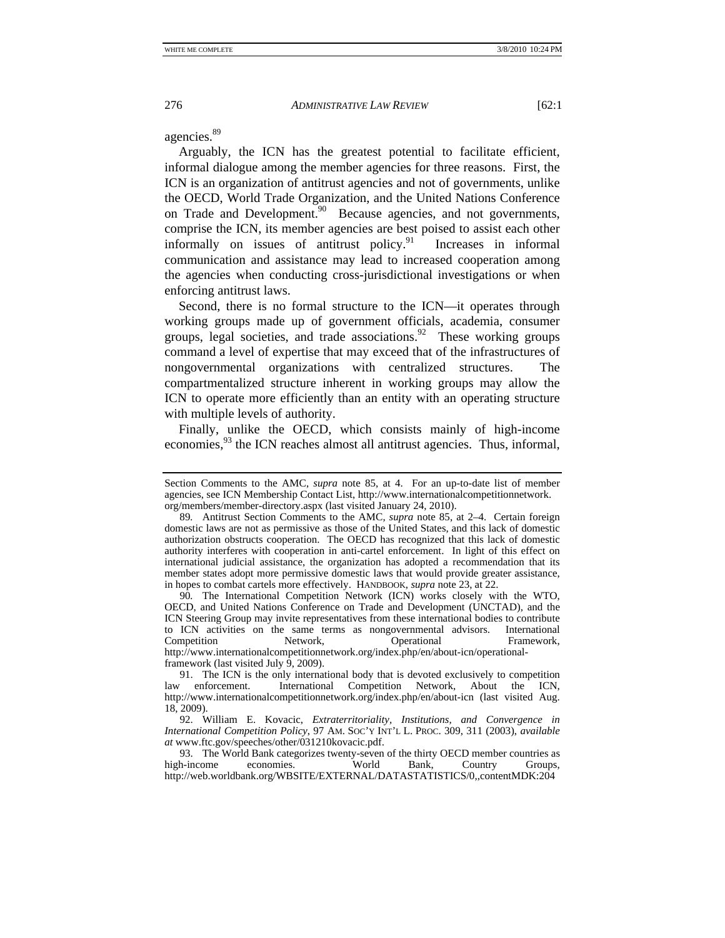agencies.<sup>89</sup>

Arguably, the ICN has the greatest potential to facilitate efficient, informal dialogue among the member agencies for three reasons. First, the ICN is an organization of antitrust agencies and not of governments, unlike the OECD, World Trade Organization, and the United Nations Conference on Trade and Development.<sup>90</sup> Because agencies, and not governments, comprise the ICN, its member agencies are best poised to assist each other informally on issues of antitrust policy. $91$  Increases in informal communication and assistance may lead to increased cooperation among the agencies when conducting cross-jurisdictional investigations or when enforcing antitrust laws.

Second, there is no formal structure to the ICN—it operates through working groups made up of government officials, academia, consumer groups, legal societies, and trade associations. $92$  These working groups command a level of expertise that may exceed that of the infrastructures of nongovernmental organizations with centralized structures. The compartmentalized structure inherent in working groups may allow the ICN to operate more efficiently than an entity with an operating structure with multiple levels of authority.

Finally, unlike the OECD, which consists mainly of high-income economies,<sup>93</sup> the ICN reaches almost all antitrust agencies. Thus, informal,

Section Comments to the AMC, *supra* note 85, at 4. For an up-to-date list of member agencies, see ICN Membership Contact List, http://www.internationalcompetitionnetwork. org/members/member-directory.aspx (last visited January 24, 2010).

<sup>89</sup>*.* Antitrust Section Comments to the AMC, *supra* note 85, at 2–4. Certain foreign domestic laws are not as permissive as those of the United States, and this lack of domestic authorization obstructs cooperation. The OECD has recognized that this lack of domestic authority interferes with cooperation in anti-cartel enforcement. In light of this effect on international judicial assistance, the organization has adopted a recommendation that its member states adopt more permissive domestic laws that would provide greater assistance, in hopes to combat cartels more effectively. HANDBOOK, *supra* note 23, at 22.

<sup>90</sup>*.* The International Competition Network (ICN) works closely with the WTO, OECD, and United Nations Conference on Trade and Development (UNCTAD), and the ICN Steering Group may invite representatives from these international bodies to contribute to ICN activities on the same terms as nongovernmental advisors. International Competition Network, Operational Framework, http://www.internationalcompetitionnetwork.org/index.php/en/about-icn/operationalframework (last visited July 9, 2009).

 <sup>91.</sup> The ICN is the only international body that is devoted exclusively to competition law enforcement. International Competition Network, About the ICN, http://www.internationalcompetitionnetwork.org/index.php/en/about-icn (last visited Aug. 18, 2009).

 <sup>92.</sup> William E. Kovacic, *Extraterritoriality, Institutions, and Convergence in International Competition Policy*, 97 AM. SOC'Y INT'L L. PROC. 309, 311 (2003), *available at* www.ftc.gov/speeches/other/031210kovacic.pdf.

 <sup>93.</sup> The World Bank categorizes twenty-seven of the thirty OECD member countries as high-income economies. World Bank, Country Groups, http://web.worldbank.org/WBSITE/EXTERNAL/DATASTATISTICS/0,,contentMDK:204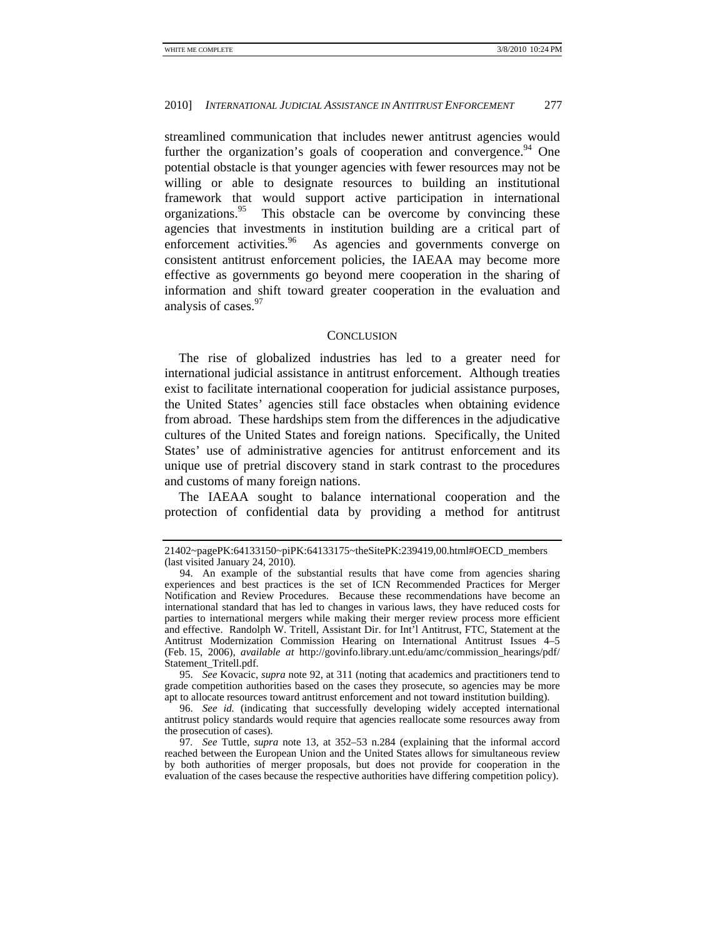streamlined communication that includes newer antitrust agencies would further the organization's goals of cooperation and convergence.<sup>94</sup> One potential obstacle is that younger agencies with fewer resources may not be willing or able to designate resources to building an institutional framework that would support active participation in international organizations.<sup>95</sup> This obstacle can be overcome by convincing these agencies that investments in institution building are a critical part of enforcement activities.<sup>96</sup> As agencies and governments converge on consistent antitrust enforcement policies, the IAEAA may become more effective as governments go beyond mere cooperation in the sharing of information and shift toward greater cooperation in the evaluation and analysis of cases.<sup>97</sup>

#### **CONCLUSION**

The rise of globalized industries has led to a greater need for international judicial assistance in antitrust enforcement. Although treaties exist to facilitate international cooperation for judicial assistance purposes, the United States' agencies still face obstacles when obtaining evidence from abroad. These hardships stem from the differences in the adjudicative cultures of the United States and foreign nations. Specifically, the United States' use of administrative agencies for antitrust enforcement and its unique use of pretrial discovery stand in stark contrast to the procedures and customs of many foreign nations.

The IAEAA sought to balance international cooperation and the protection of confidential data by providing a method for antitrust

 95. *See* Kovacic, *supra* note 92, at 311 (noting that academics and practitioners tend to grade competition authorities based on the cases they prosecute, so agencies may be more apt to allocate resources toward antitrust enforcement and not toward institution building).

 96. *See id.* (indicating that successfully developing widely accepted international antitrust policy standards would require that agencies reallocate some resources away from the prosecution of cases).

97*. See* Tuttle, *supra* note 13, at 352–53 n.284 (explaining that the informal accord reached between the European Union and the United States allows for simultaneous review by both authorities of merger proposals, but does not provide for cooperation in the evaluation of the cases because the respective authorities have differing competition policy).

<sup>21402~</sup>pagePK:64133150~piPK:64133175~theSitePK:239419,00.html#OECD\_members (last visited January 24, 2010).

 <sup>94.</sup> An example of the substantial results that have come from agencies sharing experiences and best practices is the set of ICN Recommended Practices for Merger Notification and Review Procedures. Because these recommendations have become an international standard that has led to changes in various laws, they have reduced costs for parties to international mergers while making their merger review process more efficient and effective. Randolph W. Tritell, Assistant Dir. for Int'l Antitrust, FTC, Statement at the Antitrust Modernization Commission Hearing on International Antitrust Issues 4–5 (Feb. 15, 2006), *available at* http://govinfo.library.unt.edu/amc/commission\_hearings/pdf/ Statement\_Tritell.pdf.